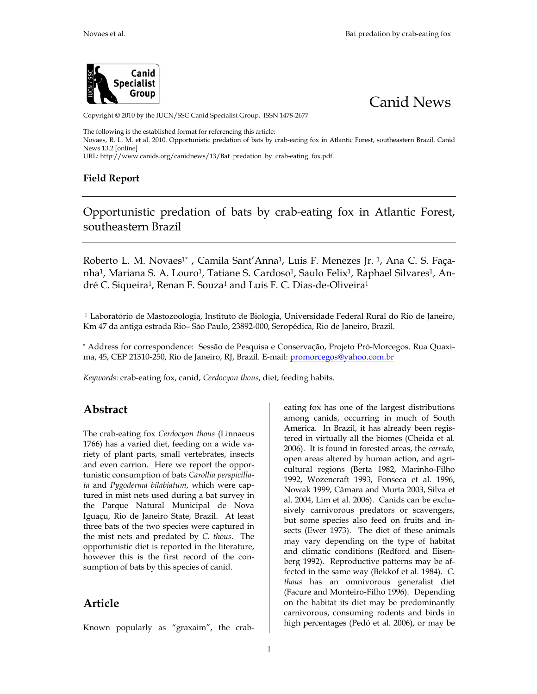eating has one of the largest distributions

 $\alpha$  and  $\alpha$  respectively. The South of South of South of South of South of South of South of South of South of South of South of South of South of South of South of South of South of South of South of South of South of

## Canid News

## Copyright 1@b 2 0the IUCN/SSC Canid Specialist 2670 up. ISSN 1478

The following is the established format for referencing this article: Novaes, R. L. 2010. On Expeditunistic predation o-néalotant g blogx cina bAtlantis cou Flot beeasster CoaBhriadzil New\$32[online]  $URL: http://www.canids.org/3z$  Batd per we sation - by time a bood x.

Field Report

Opportunistic predation of eath bats by scrab Atlantic Fores southeastern Brazil

Roberto L. M. ''No Gamsila Sant Anninsa F. Men<sup>i</sup>ez & BaJ**C. S.** Faç nha, Mariana S. A. TLaotui**ao** e S. 1CaSraduo lso 1, FeRiaxo hael SilvAnares dré C. Siquelerma n F.<sup>1</sup> SonduzLauis F. GeODina eira

1 Laboratório de Mastozoologi aiologia, uton dversidade Federal Rural do Rio de Km 47 da antigaRieosStãood Paulo, 0203089 Steropédica, Rio die Janeiro, Bra

\*Address oforrespondeShecsesão de Pesquisa e Conser-Mazorãe.goPsrojPeutia-Raucíax ma, 45, C E1 P 220, Rio de Janeiro, mRajh: Bomazice Fos @yahoo.com.br

 $Keyw\alpha$  cd  $a-b$  ating,  $\tan x$  id  $C$  erdocyon dibethous ding habits.

## Abstract

|                                             | among canwacsung in much of South                                                                                                                           |
|---------------------------------------------|-------------------------------------------------------------------------------------------------------------------------------------------------------------|
|                                             | American Brazilit has albready rsegi                                                                                                                        |
| The creadoting Coexidyon th(oLuinsnaeus     | tered in virtuallyiomlesth( € hbeida et al.                                                                                                                 |
| 1766 as a varied diet, feedimag on          | 2006ht is found in fore shiered and eas,                                                                                                                    |
|                                             | riety of plant parts, small vertebrates, insects by humanmadc <b>tion</b>                                                                                   |
| and even calleom.we reperbppo               |                                                                                                                                                             |
|                                             | dinu even cameberwe reperbippo culturaegions (Berta 1982-FilMinorinho<br>tunistic consumption roflba to the spicing 992W ozencraft, Flow Seca et 961. 19    |
| taandPygoderma bilawbhiaotobeme.pc-a        | Nowak 1999, Câmara and Murta 2003, Silv                                                                                                                     |
| tureich mistsneed duraingsurvein            | al. 2004, Lim etCaalnio2s006a)n bue excl                                                                                                                    |
| the Parque Natural Municipal                | de Nova<br>sively carnivorous predamoess, or scave                                                                                                          |
|                                             | Iguaçu, Rio de Janeiro Sottalteas Brazil, some species also feednon fruits and                                                                              |
| three bathset of species campetrueriend     |                                                                                                                                                             |
| the mistsanmed predateCd bloo. The          | sects (Ewer Th9@73diet of timeasles an                                                                                                                      |
| opprotunistic diet is repolittendation tehe | may vary dependingy poen othiehaethb                                                                                                                        |
| however this is the first racord            | and climatic conditions (Rendford and Eis                                                                                                                   |
| sumption of bats by this species            | <b><i>Berg fo Seeproductive pantagrinis a</i></b>                                                                                                           |
|                                             | $\sigma_{\text{f}}^{\text{f}}$ $\sigma_{\text{c}}^{\text{f}}$ $\sigma_{\text{d}}^{\text{f}}$ and the same knows where the same set of $\sigma_{\text{f}}$ . |
|                                             | thousasan omnivorous generalist diet                                                                                                                        |
|                                             | (Facure and M-Foniheoirto 9Dep)ending                                                                                                                       |
| Article                                     | on the haibtisoclanettmay boxeed ominantly                                                                                                                  |
|                                             | carnivorounsumciong rodents and birds in                                                                                                                    |
|                                             | high petacgese (Pedó et al.o.2m0a0y6)be                                                                                                                     |
| Known popularlygraaxsai, mthecra-b          |                                                                                                                                                             |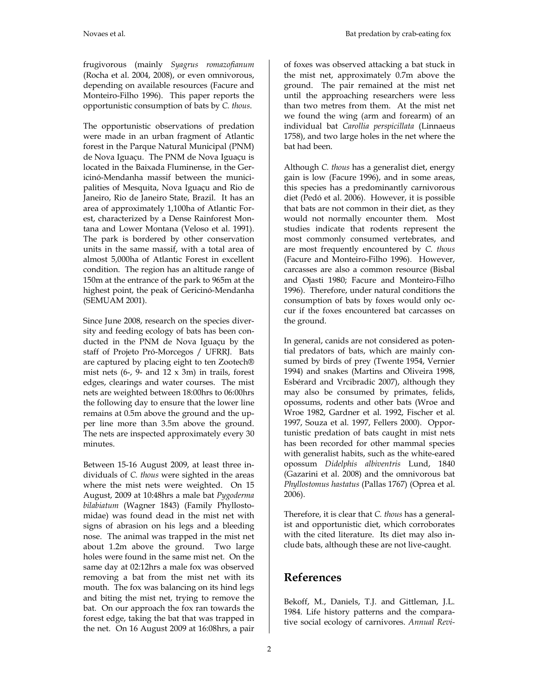frugivorous (mainly *Syagrus romazofianum* (Rocha et al. 2004, 2008), or even omnivorous, depending on available resources (Facure and Monteiro-Filho 1996). This paper reports the opportunistic consumption of bats by *C. thous*.

The opportunistic observations of predation were made in an urban fragment of Atlantic forest in the Parque Natural Municipal (PNM) de Nova Iguaçu. The PNM de Nova Iguaçu is located in the Baixada Fluminense, in the Gericinó-Mendanha massif between the municipalities of Mesquita, Nova Iguaçu and Rio de Janeiro, Rio de Janeiro State, Brazil. It has an area of approximately 1,100ha of Atlantic Forest, characterized by a Dense Rainforest Montana and Lower Montana (Veloso et al. 1991). The park is bordered by other conservation units in the same massif, with a total area of almost 5,000ha of Atlantic Forest in excellent condition. The region has an altitude range of 150m at the entrance of the park to 965m at the highest point, the peak of Gericinó-Mendanha (SEMUAM 2001).

Since June 2008, research on the species diversity and feeding ecology of bats has been conducted in the PNM de Nova Iguaçu by the staff of Projeto Pró-Morcegos / UFRRJ. Bats are captured by placing eight to ten Zootech® mist nets  $(6-$ ,  $9-$  and  $12 \times 3m$ ) in trails, forest edges, clearings and water courses. The mist nets are weighted between 18:00hrs to 06:00hrs the following day to ensure that the lower line remains at 0.5m above the ground and the upper line more than 3.5m above the ground. The nets are inspected approximately every 30 minutes.

Between 15-16 August 2009, at least three individuals of *C. thous* were sighted in the areas where the mist nets were weighted. On 15 August, 2009 at 10:48hrs a male bat *Pygoderma bilabiatum* (Wagner 1843) (Family Phyllostomidae) was found dead in the mist net with signs of abrasion on his legs and a bleeding nose. The animal was trapped in the mist net about 1.2m above the ground. Two large holes were found in the same mist net. On the same day at 02:12hrs a male fox was observed removing a bat from the mist net with its mouth. The fox was balancing on its hind legs and biting the mist net, trying to remove the bat. On our approach the fox ran towards the forest edge, taking the bat that was trapped in the net. On 16 August 2009 at 16:08hrs, a pair

of foxes was observed attacking a bat stuck in the mist net, approximately 0.7m above the ground. The pair remained at the mist net until the approaching researchers were less than two metres from them. At the mist net we found the wing (arm and forearm) of an individual bat *Carollia perspicillata* (Linnaeus 1758), and two large holes in the net where the bat had been.

Although *C. thous* has a generalist diet, energy gain is low (Facure 1996), and in some areas, this species has a predominantly carnivorous diet (Pedó et al. 2006). However, it is possible that bats are not common in their diet, as they would not normally encounter them. Most studies indicate that rodents represent the most commonly consumed vertebrates, and are most frequently encountered by *C. thous* (Facure and Monteiro-Filho 1996). However, carcasses are also a common resource (Bisbal and Ojasti 1980; Facure and Monteiro-Filho 1996). Therefore, under natural conditions the consumption of bats by foxes would only occur if the foxes encountered bat carcasses on the ground.

In general, canids are not considered as potential predators of bats, which are mainly consumed by birds of prey (Twente 1954, Vernier 1994) and snakes (Martins and Oliveira 1998, Esbérard and Vrcibradic 2007), although they may also be consumed by primates, felids, opossums, rodents and other bats (Wroe and Wroe 1982, Gardner et al. 1992, Fischer et al. 1997, Souza et al. 1997, Fellers 2000). Opportunistic predation of bats caught in mist nets has been recorded for other mammal species with generalist habits, such as the white-eared opossum *Didelphis albiventris* Lund, 1840 (Gazarini et al. 2008) and the omnivorous bat *Phyllostomus hastatus* (Pallas 1767) (Oprea et al. 2006).

Therefore, it is clear that *C. thous* has a generalist and opportunistic diet, which corroborates with the cited literature. Its diet may also include bats, although these are not live-caught.

## **References**

Bekoff, M., Daniels, T.J. and Gittleman, J.L. 1984. Life history patterns and the comparative social ecology of carnivores. *Annual Revi-*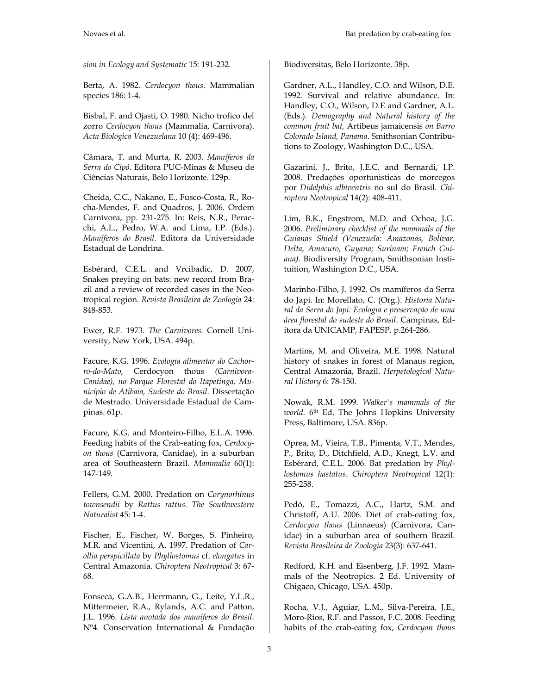*sion in Ecology and Systematic* 15: 191-232.

Berta, A. 1982. *Cerdocyon thous*. Mammalian species 186: 1-4.

Bisbal, F. and Ojasti, O. 1980. Nicho trofico del zorro *Cerdocyon thous* (Mammalia, Carnivora). *Acta Biologica Venezuelana* 10 (4): 469-496.

Câmara, T. and Murta, R. 2003. *Mamíferos da Serra do Cipó*. Editora PUC-Minas & Museu de Ciências Naturais, Belo Horizonte. 129p.

Cheida, C.C., Nakano, E., Fusco-Costa, R., Rocha-Mendes, F. and Quadros, J. 2006. Ordem Carnívora, pp. 231-275. In: Reis, N.R., Peracchi, A.L., Pedro, W.A. and Lima, I.P. (Eds.). *Mamíferos do Brasil*. Editora da Universidade Estadual de Londrina.

Esbérard, C.E.L. and Vrcibadic, D. 2007, Snakes preying on bats: new record from Brazil and a review of recorded cases in the Neotropical region. *Revista Brasileira de Zoologia* 24: 848-853.

Ewer, R.F. 1973. *The Carnivores*. Cornell University, New York, USA. 494p.

Facure, K.G. 1996. *Ecologia alimentar do Cachorro-do-Mato,* Cerdocyon thous *(Carnivora-Canidae), no Parque Florestal do Itapetinga, Município de Atibaia, Sudeste do Brasil*. Dissertação de Mestrado. Universidade Estadual de Campinas. 61p.

Facure, K.G. and Monteiro-Filho, E.L.A. 1996. Feeding habits of the Crab-eating fox, *Cerdocyon thous* (Carnivora, Canidae), in a suburban area of Southeastern Brazil. *Mammalia* 60(1): 147-149.

Fellers, G.M. 2000. Predation on *Corynorhinus townsendii* by *Rattus rattus*. *The Southwestern Naturalist* 45: 1-4.

Fischer, E., Fischer, W. Borges, S. Pinheiro, M.R. and Vicentini, A. 1997. Predation of *Carollia perspicillata* by *Phyllostomus* cf. *elongatus* in Central Amazonia. *Chiroptera Neotropical* 3: 67- 68.

Fonseca, G.A.B., Herrmann, G., Leite, Y.L.R., Mittermeier, R.A., Rylands, A.C. and Patton, J.L. 1996. *Lista anotada dos mamíferos do Brasil*. Nº4. Conservation International & Fundação Biodiversitas, Belo Horizonte. 38p.

Gardner, A.L., Handley, C.O. and Wilson, D.E. 1992. Survival and relative abundance. In: Handley, C.O., Wilson, D.E and Gardner, A.L. (Eds.). *Demography and Natural history of the common fruit bat,* Artibeus jamaicensis *on Barro Colorado Island, Panama*. Smithsonian Contributions to Zoology, Washington D.C., USA.

Gazarini, J., Brito, J.E.C. and Bernardi, I.P. 2008. Predações oportunisticas de morcegos por *Didelphis albiventris* no sul do Brasil. *Chiroptera Neotropical* 14(2): 408-411.

Lim, B.K., Engstrom, M.D. and Ochoa, J.G. 2006. *Preliminary checklist of the mammals of the Guianas Shield (Venezuela: Amazonas, Bolivar, Delta, Amacuro, Guyana; Surinam; French Guiana)*. Biodiversity Program, Smithsonian Instituition, Washington D.C., USA.

Marinho-Filho, J. 1992. Os mamíferos da Serra do Japi. In: Morellato, C. (Org.). *Historia Natural da Serra do Japi: Ecologia e preservação de uma área florestal do sudeste do Brasil*. Campinas, Editora da UNICAMP, FAPESP. p.264-286.

Martins, M. and Oliveira, M.E. 1998. Natural history of snakes in forest of Manaus region, Central Amazonia, Brazil. *Herpetological Natural History* 6: 78-150.

Nowak, R.M. 1999. *Walker's mammals of the world*. 6th Ed. The Johns Hopkins University Press, Baltimore, USA. 836p.

Oprea, M., Vieira, T.B., Pimenta, V.T., Mendes, P., Brito, D., Ditchfield, A.D., Knegt, L.V. and Esbérard, C.E.L. 2006. Bat predation by *Phyllostomus hastatus*. *Chiroptera Neotropical* 12(1): 255-258.

Pedó, E., Tomazzi, A.C., Hartz, S.M. and Christoff, A.U. 2006. Diet of crab-eating fox, *Cerdocyon thous* (Linnaeus) (Carnivora, Canidae) in a suburban area of southern Brazil. *Revista Brasileira de Zoologia* 23(3): 637-641.

Redford, K.H. and Eisenberg, J.F. 1992. Mammals of the Neotropics. 2 Ed. University of Chigaco, Chicago, USA. 450p.

Rocha, V.J., Aguiar, L.M., Silva-Pereira, J.E., Moro-Rios, R.F. and Passos, F.C. 2008. Feeding habits of the crab-eating fox, *Cerdocyon thous*